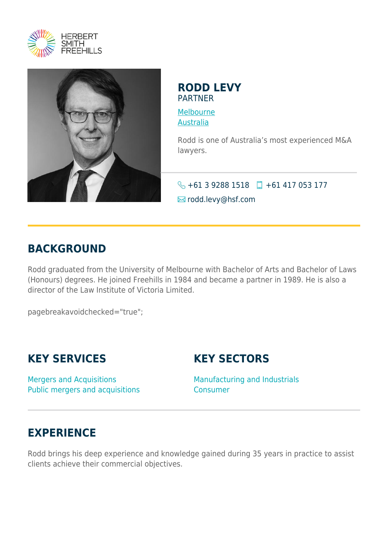



#### **RODD LEVY** PARTNER

[Melbourne](https://www.herbertsmithfreehills.com/lang-fr/where-we-work/melbourne) [Australia](https://www.herbertsmithfreehills.com/lang-fr/where-we-work/australia)

Rodd is one of Australia's most experienced M&A lawyers.

 $\bigodot$  +61 3 9288 1518  $\Box$  +61 417 053 177 **Ex** rodd.levy@hsf.com

## **BACKGROUND**

Rodd graduated from the University of Melbourne with Bachelor of Arts and Bachelor of Laws (Honours) degrees. He joined Freehills in 1984 and became a partner in 1989. He is also a director of the Law Institute of Victoria Limited.

pagebreakavoidchecked="true";

# **KEY SERVICES**

Mergers and Acquisitions Public mergers and acquisitions **KEY SECTORS**

Manufacturing and Industrials Consumer

### **EXPERIENCE**

Rodd brings his deep experience and knowledge gained during 35 years in practice to assist clients achieve their commercial objectives.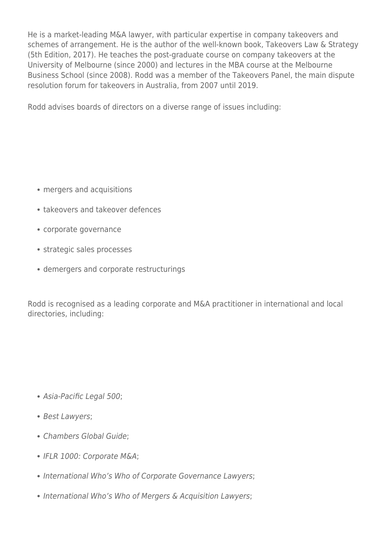He is a market-leading M&A lawyer, with particular expertise in company takeovers and schemes of arrangement. He is the author of the well-known book, Takeovers Law & Strategy (5th Edition, 2017). He teaches the post-graduate course on company takeovers at the University of Melbourne (since 2000) and lectures in the MBA course at the Melbourne Business School (since 2008). Rodd was a member of the Takeovers Panel, the main dispute resolution forum for takeovers in Australia, from 2007 until 2019.

Rodd advises boards of directors on a diverse range of issues including:

- mergers and acquisitions
- takeovers and takeover defences
- corporate governance
- strategic sales processes
- demergers and corporate restructurings

Rodd is recognised as a leading corporate and M&A practitioner in international and local directories, including:

- Asia-Pacific Legal 500;
- Best Lawyers;
- Chambers Global Guide;
- IFLR 1000: Corporate M&A;
- International Who's Who of Corporate Governance Lawyers;
- International Who's Who of Mergers & Acquisition Lawyers;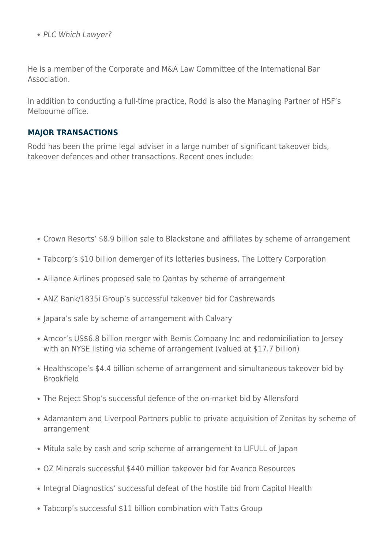• PLC Which Lawyer?

He is a member of the Corporate and M&A Law Committee of the International Bar Association.

In addition to conducting a full-time practice, Rodd is also the Managing Partner of HSF's Melbourne office.

#### **MAJOR TRANSACTIONS**

Rodd has been the prime legal adviser in a large number of significant takeover bids, takeover defences and other transactions. Recent ones include:

- Crown Resorts' \$8.9 billion sale to Blackstone and affiliates by scheme of arrangement
- Tabcorp's \$10 billion demerger of its lotteries business, The Lottery Corporation
- Alliance Airlines proposed sale to Qantas by scheme of arrangement
- ANZ Bank/1835i Group's successful takeover bid for Cashrewards
- Japara's sale by scheme of arrangement with Calvary
- Amcor's US\$6.8 billion merger with Bemis Company Inc and redomiciliation to Jersey with an NYSE listing via scheme of arrangement (valued at \$17.7 billion)
- Healthscope's \$4.4 billion scheme of arrangement and simultaneous takeover bid by Brookfield
- The Reject Shop's successful defence of the on-market bid by Allensford
- Adamantem and Liverpool Partners public to private acquisition of Zenitas by scheme of arrangement
- Mitula sale by cash and scrip scheme of arrangement to LIFULL of Japan
- OZ Minerals successful \$440 million takeover bid for Avanco Resources
- Integral Diagnostics' successful defeat of the hostile bid from Capitol Health
- Tabcorp's successful \$11 billion combination with Tatts Group